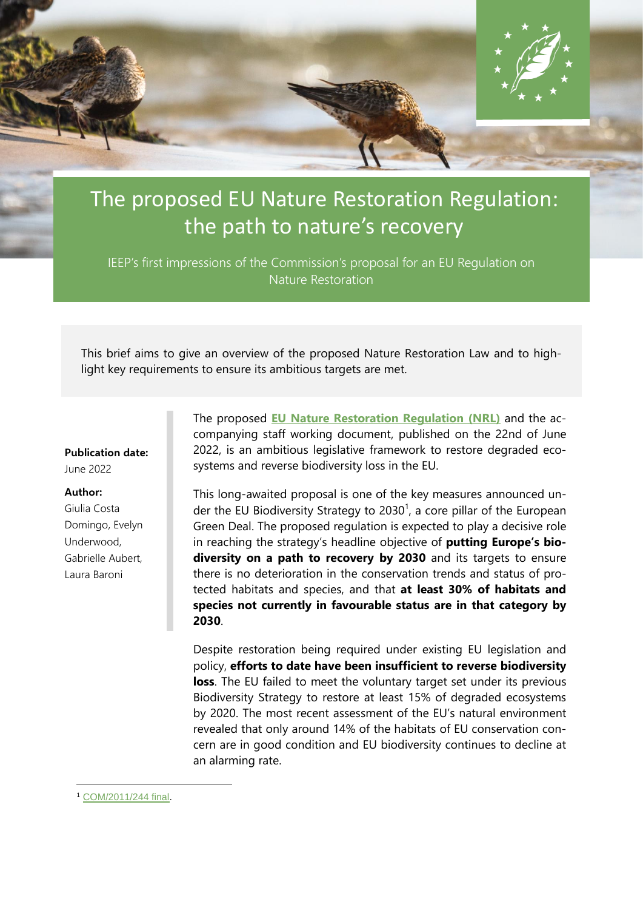

# The proposed EU Nature Restoration Regulation: the path to nature's recovery

IEEP's first impressions of the Commission's proposal for an EU Regulation on Nature Restoration

This brief aims to give an overview of the proposed Nature Restoration Law and to highlight key requirements to ensure its ambitious targets are met.

#### **Publication date:**

June 2022

#### **Author:**

Giulia Costa Domingo, Evelyn Underwood, Gabrielle Aubert, Laura Baroni

The proposed **[EU Nature Restoration Regulation](https://environment.ec.europa.eu/publications/nature-restoration-law_en) (NRL)** and the accompanying staff working document, published on the 22nd of June 2022, is an ambitious legislative framework to restore degraded ecosystems and reverse biodiversity loss in the EU.

This long-awaited proposal is one of the key measures announced under the EU Biodiversity Strategy to 2030<sup>1</sup>, a core pillar of the European Green Deal. The proposed regulation is expected to play a decisive role in reaching the strategy's headline objective of **putting Europe's biodiversity on a path to recovery by 2030** and its targets to ensure there is no deterioration in the conservation trends and status of protected habitats and species, and that **at least 30% of habitats and species not currently in favourable status are in that category by 2030**.

Despite restoration being required under existing EU legislation and policy, **efforts to date have been insufficient to reverse biodiversity loss**. The EU failed to meet the voluntary target set under its previous Biodiversity Strategy to restore at least 15% of degraded ecosystems by 2020. The most recent assessment of the EU's natural environment revealed that only around 14% of the habitats of EU conservation concern are in good condition and EU biodiversity continues to decline at an alarming rate.

<sup>1</sup> [COM/2011/244 final.](https://eur-lex.europa.eu/LexUriServ/LexUriServ.do?uri=COM:2011:0244:FIN:EN:PDF)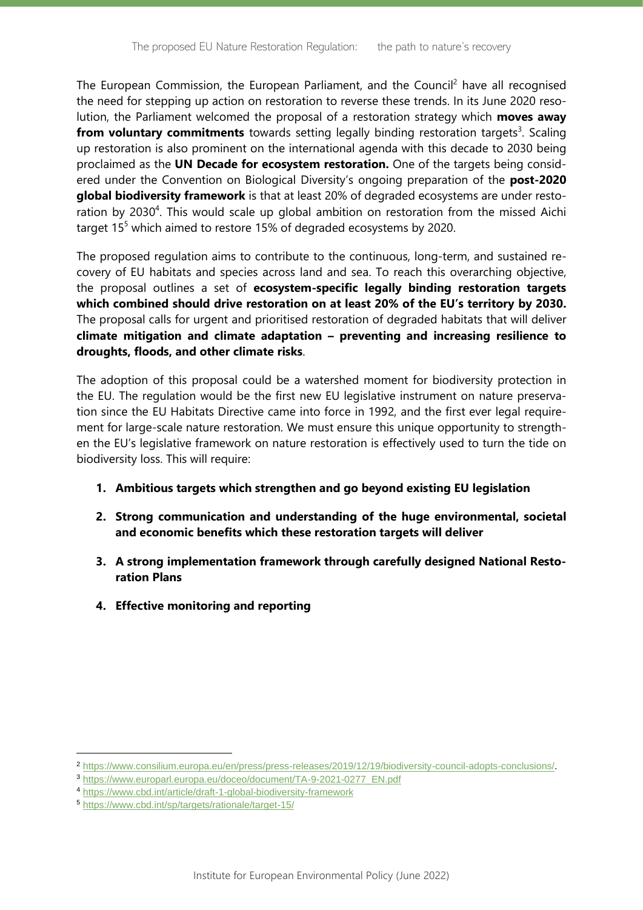The European Commission, the European Parliament, and the Council<sup>2</sup> have all recognised the need for stepping up action on restoration to reverse these trends. In its June 2020 resolution, the Parliament welcomed the proposal of a restoration strategy which **moves away from voluntary commitments** towards setting legally binding restoration targets<sup>3</sup>. Scaling up restoration is also prominent on the international agenda with this decade to 2030 being proclaimed as the **UN Decade for ecosystem restoration.** One of the targets being considered under the Convention on Biological Diversity's ongoing preparation of the **post-2020 global biodiversity framework** is that at least 20% of degraded ecosystems are under restoration by 2030<sup>4</sup>. This would scale up global ambition on restoration from the missed Aichi target 15<sup>5</sup> which aimed to restore 15% of degraded ecosystems by 2020.

The proposed regulation aims to contribute to the continuous, long-term, and sustained recovery of EU habitats and species across land and sea. To reach this overarching objective, the proposal outlines a set of **ecosystem-specific legally binding restoration targets which combined should drive restoration on at least 20% of the EU's territory by 2030.** The proposal calls for urgent and prioritised restoration of degraded habitats that will deliver **climate mitigation and climate adaptation – preventing and increasing resilience to droughts, floods, and other climate risks**.

The adoption of this proposal could be a watershed moment for biodiversity protection in the EU. The regulation would be the first new EU legislative instrument on nature preservation since the EU Habitats Directive came into force in 1992, and the first ever legal requirement for large-scale nature restoration. We must ensure this unique opportunity to strengthen the EU's legislative framework on nature restoration is effectively used to turn the tide on biodiversity loss. This will require:

- **1. Ambitious targets which strengthen and go beyond existing EU legislation**
- **2. Strong communication and understanding of the huge environmental, societal and economic benefits which these restoration targets will deliver**
- **3. A strong implementation framework through carefully designed National Restoration Plans**
- **4. Effective monitoring and reporting**

<sup>2</sup> [https://www.consilium.europa.eu/en/press/press-releases/2019/12/19/biodiversity-council-adopts-conclusions/.](https://www.consilium.europa.eu/en/press/press-releases/2019/12/19/biodiversity-council-adopts-conclusions/)

<sup>3</sup> [https://www.europarl.europa.eu/doceo/document/TA-9-2021-0277\\_EN.pdf](https://www.europarl.europa.eu/doceo/document/TA-9-2021-0277_EN.pdf)

<sup>4</sup> <https://www.cbd.int/article/draft-1-global-biodiversity-framework>

<sup>5</sup> <https://www.cbd.int/sp/targets/rationale/target-15/>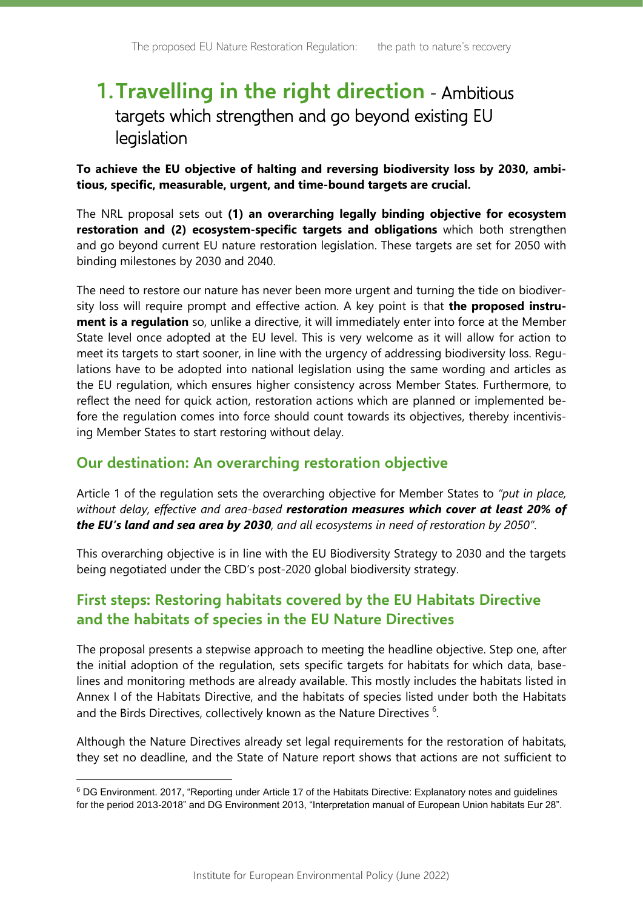## **1.Travelling in the right direction** - Ambitious targets which strengthen and go beyond existing EU legislation

**To achieve the EU objective of halting and reversing biodiversity loss by 2030, ambitious, specific, measurable, urgent, and time-bound targets are crucial.** 

The NRL proposal sets out **(1) an overarching legally binding objective for ecosystem restoration and (2) ecosystem-specific targets and obligations** which both strengthen and go beyond current EU nature restoration legislation. These targets are set for 2050 with binding milestones by 2030 and 2040.

The need to restore our nature has never been more urgent and turning the tide on biodiversity loss will require prompt and effective action. A key point is that **the proposed instrument is a regulation** so, unlike a directive, it will immediately enter into force at the Member State level once adopted at the EU level. This is very welcome as it will allow for action to meet its targets to start sooner, in line with the urgency of addressing biodiversity loss. Regulations have to be adopted into national legislation using the same wording and articles as the EU regulation, which ensures higher consistency across Member States. Furthermore, to reflect the need for quick action, restoration actions which are planned or implemented before the regulation comes into force should count towards its objectives, thereby incentivising Member States to start restoring without delay.

#### **Our destination: An overarching restoration objective**

Article 1 of the regulation sets the overarching objective for Member States to *"put in place, without delay, effective and area-based restoration measures which cover at least 20% of the EU's land and sea area by 2030, and all ecosystems in need of restoration by 2050"*.

This overarching objective is in line with the EU Biodiversity Strategy to 2030 and the targets being negotiated under the CBD's post-2020 global biodiversity strategy.

### **First steps: Restoring habitats covered by the EU Habitats Directive and the habitats of species in the EU Nature Directives**

The proposal presents a stepwise approach to meeting the headline objective. Step one, after the initial adoption of the regulation, sets specific targets for habitats for which data, baselines and monitoring methods are already available. This mostly includes the habitats listed in Annex I of the Habitats Directive, and the habitats of species listed under both the Habitats and the Birds Directives, collectively known as the Nature Directives  $6$ .

Although the Nature Directives already set legal requirements for the restoration of habitats, they set no deadline, and the State of Nature report shows that actions are not sufficient to

<sup>6</sup> DG Environment. 2017, "Reporting under Article 17 of the Habitats Directive: Explanatory notes and guidelines for the period 2013-2018" and DG Environment 2013, "Interpretation manual of European Union habitats Eur 28".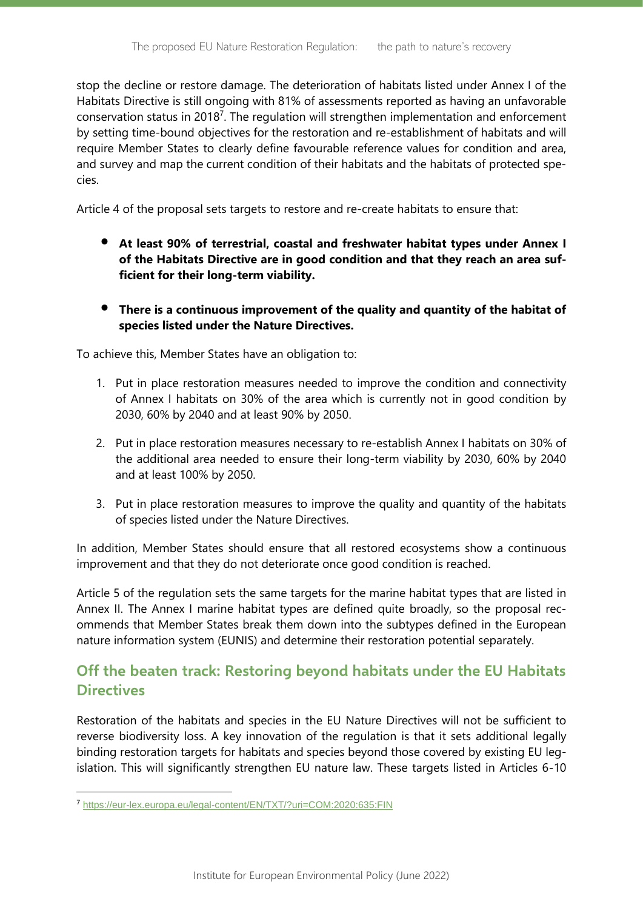stop the decline or restore damage. The deterioration of habitats listed under Annex I of the Habitats Directive is still ongoing with 81% of assessments reported as having an unfavorable conservation status in 2018<sup>7</sup>. The regulation will strengthen implementation and enforcement by setting time-bound objectives for the restoration and re-establishment of habitats and will require Member States to clearly define favourable reference values for condition and area, and survey and map the current condition of their habitats and the habitats of protected species.

Article 4 of the proposal sets targets to restore and re-create habitats to ensure that:

- **At least 90% of terrestrial, coastal and freshwater habitat types under Annex I of the Habitats Directive are in good condition and that they reach an area sufficient for their long-term viability.**
- **There is a continuous improvement of the quality and quantity of the habitat of species listed under the Nature Directives.**

To achieve this, Member States have an obligation to:

- 1. Put in place restoration measures needed to improve the condition and connectivity of Annex I habitats on 30% of the area which is currently not in good condition by 2030, 60% by 2040 and at least 90% by 2050.
- 2. Put in place restoration measures necessary to re-establish Annex I habitats on 30% of the additional area needed to ensure their long-term viability by 2030, 60% by 2040 and at least 100% by 2050.
- 3. Put in place restoration measures to improve the quality and quantity of the habitats of species listed under the Nature Directives.

In addition, Member States should ensure that all restored ecosystems show a continuous improvement and that they do not deteriorate once good condition is reached.

Article 5 of the regulation sets the same targets for the marine habitat types that are listed in Annex II. The Annex I marine habitat types are defined quite broadly, so the proposal recommends that Member States break them down into the subtypes defined in the European nature information system (EUNIS) and determine their restoration potential separately.

### **Off the beaten track: Restoring beyond habitats under the EU Habitats Directives**

Restoration of the habitats and species in the EU Nature Directives will not be sufficient to reverse biodiversity loss. A key innovation of the regulation is that it sets additional legally binding restoration targets for habitats and species beyond those covered by existing EU legislation. This will significantly strengthen EU nature law. These targets listed in Articles 6-10

<sup>7</sup> <https://eur-lex.europa.eu/legal-content/EN/TXT/?uri=COM:2020:635:FIN>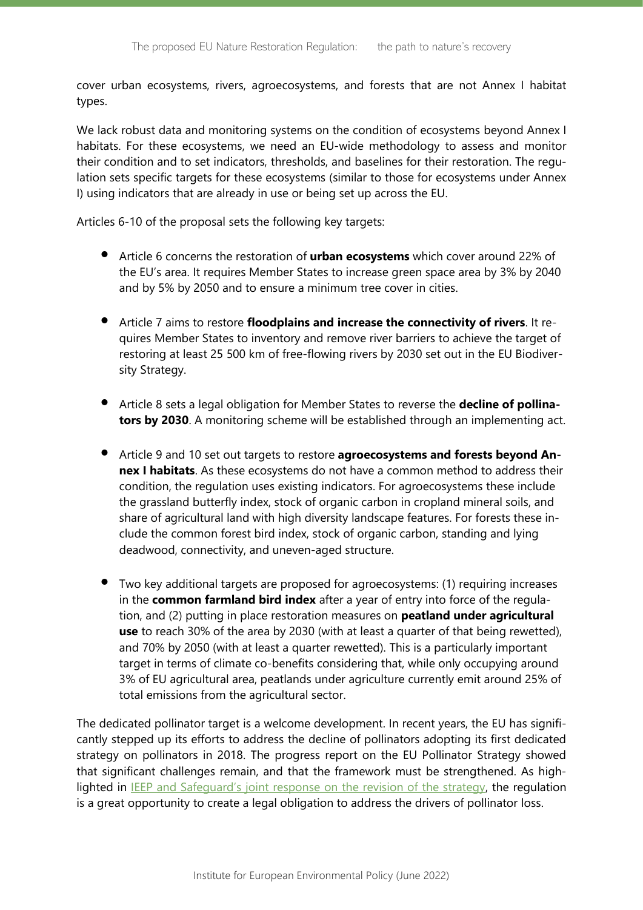cover urban ecosystems, rivers, agroecosystems, and forests that are not Annex I habitat types.

We lack robust data and monitoring systems on the condition of ecosystems beyond Annex I habitats. For these ecosystems, we need an EU-wide methodology to assess and monitor their condition and to set indicators, thresholds, and baselines for their restoration. The regulation sets specific targets for these ecosystems (similar to those for ecosystems under Annex I) using indicators that are already in use or being set up across the EU.

Articles 6-10 of the proposal sets the following key targets:

- Article 6 concerns the restoration of **urban ecosystems** which cover around 22% of the EU's area. It requires Member States to increase green space area by 3% by 2040 and by 5% by 2050 and to ensure a minimum tree cover in cities.
- Article 7 aims to restore **floodplains and increase the connectivity of rivers**. It requires Member States to inventory and remove river barriers to achieve the target of restoring at least 25 500 km of free-flowing rivers by 2030 set out in the EU Biodiversity Strategy.
- Article 8 sets a legal obligation for Member States to reverse the **decline of pollinators by 2030**. A monitoring scheme will be established through an implementing act.
- Article 9 and 10 set out targets to restore **agroecosystems and forests beyond Annex I habitats**. As these ecosystems do not have a common method to address their condition, the regulation uses existing indicators. For agroecosystems these include the grassland butterfly index, stock of organic carbon in cropland mineral soils, and share of agricultural land with high diversity landscape features. For forests these include the common forest bird index, stock of organic carbon, standing and lying deadwood, connectivity, and uneven-aged structure.
- Two key additional targets are proposed for agroecosystems: (1) requiring increases in the **common farmland bird index** after a year of entry into force of the regulation, and (2) putting in place restoration measures on **peatland under agricultural use** to reach 30% of the area by 2030 (with at least a quarter of that being rewetted), and 70% by 2050 (with at least a quarter rewetted). This is a particularly important target in terms of climate co-benefits considering that, while only occupying around 3% of EU agricultural area, peatlands under agriculture currently emit around 25% of total emissions from the agricultural sector.

The dedicated pollinator target is a welcome development. In recent years, the EU has significantly stepped up its efforts to address the decline of pollinators adopting its first dedicated strategy on pollinators in 2018. The progress report on the EU Pollinator Strategy showed that significant challenges remain, and that the framework must be strengthened. As high-lighted in [IEEP and Safeguard's joint response on the revision of the strategy](https://ieep.eu/news/ieep-and-safeguard-response-to-eu-pollinators-initiative-revision-consultation), the regulation is a great opportunity to create a legal obligation to address the drivers of pollinator loss.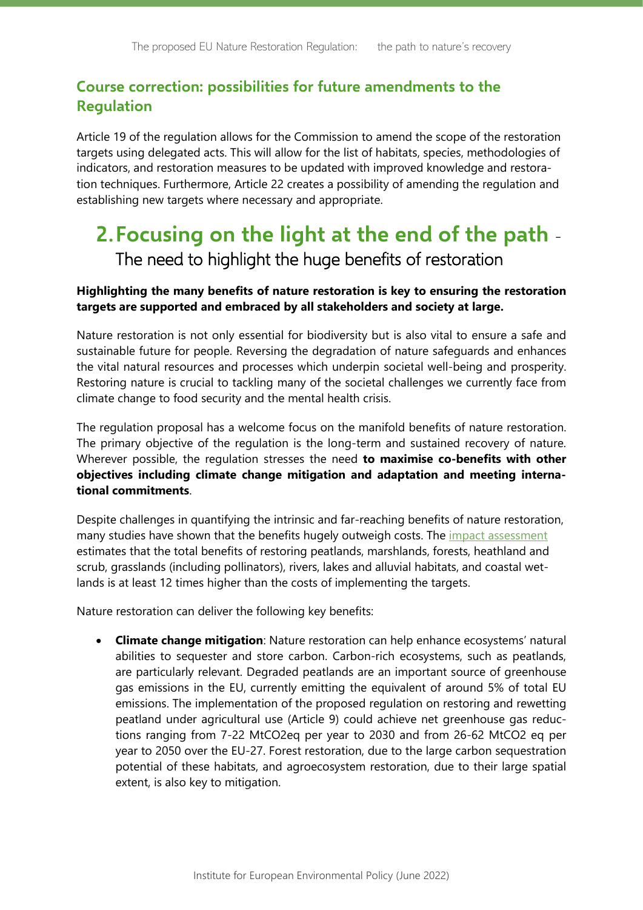### **Course correction: possibilities for future amendments to the Regulation**

Article 19 of the regulation allows for the Commission to amend the scope of the restoration targets using delegated acts. This will allow for the list of habitats, species, methodologies of indicators, and restoration measures to be updated with improved knowledge and restoration techniques. Furthermore, Article 22 creates a possibility of amending the regulation and establishing new targets where necessary and appropriate.

## **2.Focusing on the light at the end of the path** - The need to highlight the huge benefits of restoration

#### **Highlighting the many benefits of nature restoration is key to ensuring the restoration targets are supported and embraced by all stakeholders and society at large.**

Nature restoration is not only essential for biodiversity but is also vital to ensure a safe and sustainable future for people. Reversing the degradation of nature safeguards and enhances the vital natural resources and processes which underpin societal well-being and prosperity. Restoring nature is crucial to tackling many of the societal challenges we currently face from climate change to food security and the mental health crisis.

The regulation proposal has a welcome focus on the manifold benefits of nature restoration. The primary objective of the regulation is the long-term and sustained recovery of nature. Wherever possible, the regulation stresses the need **to maximise co-benefits with other objectives including climate change mitigation and adaptation and meeting international commitments**.

Despite challenges in quantifying the intrinsic and far-reaching benefits of nature restoration, many studies have shown that the benefits hugely outweigh costs. The *impact assessment* estimates that the total benefits of restoring peatlands, marshlands, forests, heathland and scrub, grasslands (including pollinators), rivers, lakes and alluvial habitats, and coastal wetlands is at least 12 times higher than the costs of implementing the targets.

Nature restoration can deliver the following key benefits:

• **Climate change mitigation**: Nature restoration can help enhance ecosystems' natural abilities to sequester and store carbon. Carbon-rich ecosystems, such as peatlands, are particularly relevant. Degraded peatlands are an important source of greenhouse gas emissions in the EU, currently emitting the equivalent of around 5% of total EU emissions. The implementation of the proposed regulation on restoring and rewetting peatland under agricultural use (Article 9) could achieve net greenhouse gas reductions ranging from 7-22 MtCO2eq per year to 2030 and from 26-62 MtCO2 eq per year to 2050 over the EU-27. Forest restoration, due to the large carbon sequestration potential of these habitats, and agroecosystem restoration, due to their large spatial extent, is also key to mitigation.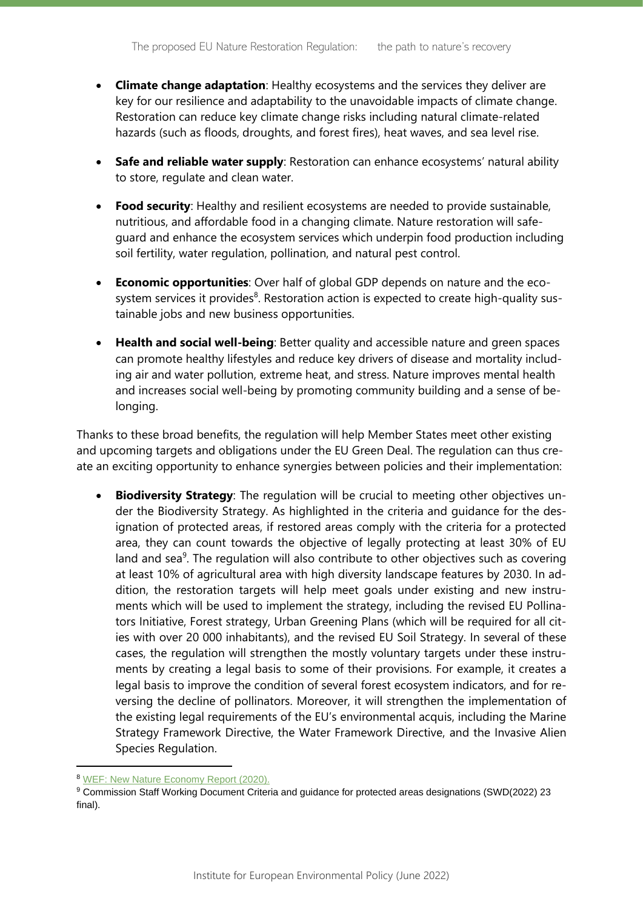- **Climate change adaptation**: Healthy ecosystems and the services they deliver are key for our resilience and adaptability to the unavoidable impacts of climate change. Restoration can reduce key climate change risks including natural climate-related hazards (such as floods, droughts, and forest fires), heat waves, and sea level rise.
- **Safe and reliable water supply**: Restoration can enhance ecosystems' natural ability to store, regulate and clean water.
- **Food security**: Healthy and resilient ecosystems are needed to provide sustainable, nutritious, and affordable food in a changing climate. Nature restoration will safeguard and enhance the ecosystem services which underpin food production including soil fertility, water regulation, pollination, and natural pest control.
- **Economic opportunities**: Over half of global GDP depends on nature and the ecosystem services it provides<sup>8</sup>. Restoration action is expected to create high-quality sustainable jobs and new business opportunities.
- **Health and social well-being**: Better quality and accessible nature and green spaces can promote healthy lifestyles and reduce key drivers of disease and mortality including air and water pollution, extreme heat, and stress. Nature improves mental health and increases social well-being by promoting community building and a sense of belonging.

Thanks to these broad benefits, the regulation will help Member States meet other existing and upcoming targets and obligations under the EU Green Deal. The regulation can thus create an exciting opportunity to enhance synergies between policies and their implementation:

• **Biodiversity Strategy**: The regulation will be crucial to meeting other objectives under the Biodiversity Strategy. As highlighted in the criteria and guidance for the designation of protected areas, if restored areas comply with the criteria for a protected area, they can count towards the objective of legally protecting at least 30% of EU land and sea $9$ . The regulation will also contribute to other objectives such as covering at least 10% of agricultural area with high diversity landscape features by 2030. In addition, the restoration targets will help meet goals under existing and new instruments which will be used to implement the strategy, including the revised EU Pollinators Initiative, Forest strategy, Urban Greening Plans (which will be required for all cities with over 20 000 inhabitants), and the revised EU Soil Strategy. In several of these cases, the regulation will strengthen the mostly voluntary targets under these instruments by creating a legal basis to some of their provisions. For example, it creates a legal basis to improve the condition of several forest ecosystem indicators, and for reversing the decline of pollinators. Moreover, it will strengthen the implementation of the existing legal requirements of the EU's environmental acquis, including the Marine Strategy Framework Directive, the Water Framework Directive, and the Invasive Alien Species Regulation.

<sup>8</sup> [WEF: New Nature Economy Report \(2020\).](https://www.weforum.org/reports/new-nature-economy-report-series/)

<sup>9</sup> Commission Staff Working Document Criteria and guidance for protected areas designations (SWD(2022) 23 final).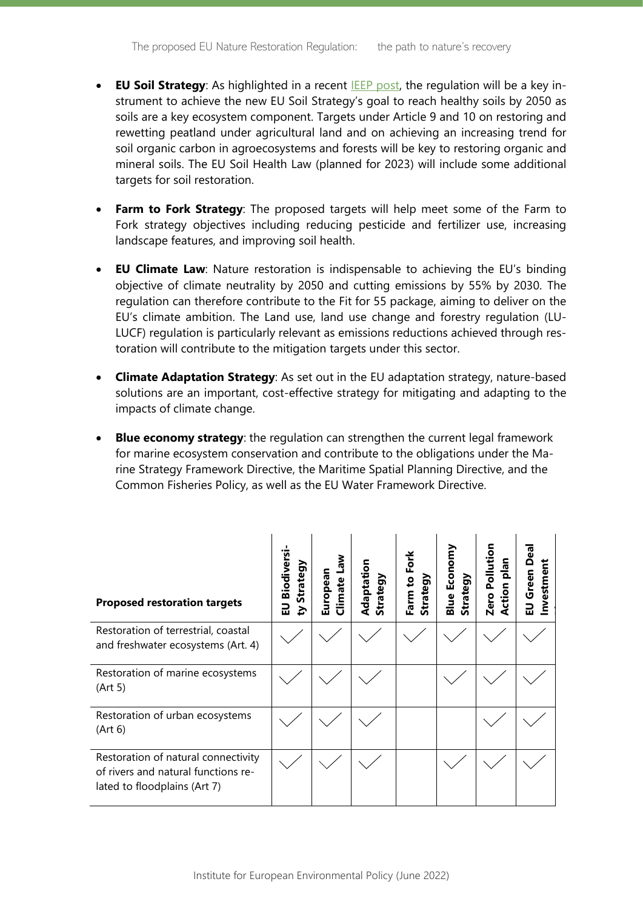- **EU Soil Strategy**: As highlighted in a recent **IEEP post**, the regulation will be a key instrument to achieve the new EU Soil Strategy's goal to reach healthy soils by 2050 as soils are a key ecosystem component. Targets under Article 9 and 10 on restoring and rewetting peatland under agricultural land and on achieving an increasing trend for soil organic carbon in agroecosystems and forests will be key to restoring organic and mineral soils. The EU Soil Health Law (planned for 2023) will include some additional targets for soil restoration.
- **Farm to Fork Strategy**: The proposed targets will help meet some of the Farm to Fork strategy objectives including reducing pesticide and fertilizer use, increasing landscape features, and improving soil health.
- **EU Climate Law**: Nature restoration is indispensable to achieving the EU's binding objective of climate neutrality by 2050 and cutting emissions by 55% by 2030. The regulation can therefore contribute to the Fit for 55 package, aiming to deliver on the EU's climate ambition. The Land use, land use change and forestry regulation (LU-LUCF) regulation is particularly relevant as emissions reductions achieved through restoration will contribute to the mitigation targets under this sector.
- **Climate Adaptation Strategy**: As set out in the EU adaptation strategy, nature-based solutions are an important, cost-effective strategy for mitigating and adapting to the impacts of climate change.
- **Blue economy strategy**: the regulation can strengthen the current legal framework for marine ecosystem conservation and contribute to the obligations under the Marine Strategy Framework Directive, the Maritime Spatial Planning Directive, and the Common Fisheries Policy, as well as the EU Water Framework Directive.

| <b>Proposed restoration targets</b>                                                                        | Biodiversi-<br><b>Strategy</b><br>$\overline{a}$<br>≿ | <b>Law</b><br>European<br>Climate | Adaptation<br>Strategy | Farm to Fork<br>Strategy | <b>Blue Economy</b><br>Strategy | Zero Pollution<br>nalq<br><b>Action</b> | Deal<br>nvestment<br>EU Green |
|------------------------------------------------------------------------------------------------------------|-------------------------------------------------------|-----------------------------------|------------------------|--------------------------|---------------------------------|-----------------------------------------|-------------------------------|
| Restoration of terrestrial, coastal<br>and freshwater ecosystems (Art. 4)                                  |                                                       |                                   |                        |                          |                                 |                                         |                               |
| Restoration of marine ecosystems<br>(Art 5)                                                                |                                                       |                                   |                        |                          |                                 |                                         |                               |
| Restoration of urban ecosystems<br>(Art 6)                                                                 |                                                       |                                   |                        |                          |                                 |                                         |                               |
| Restoration of natural connectivity<br>of rivers and natural functions re-<br>lated to floodplains (Art 7) |                                                       |                                   |                        |                          |                                 |                                         |                               |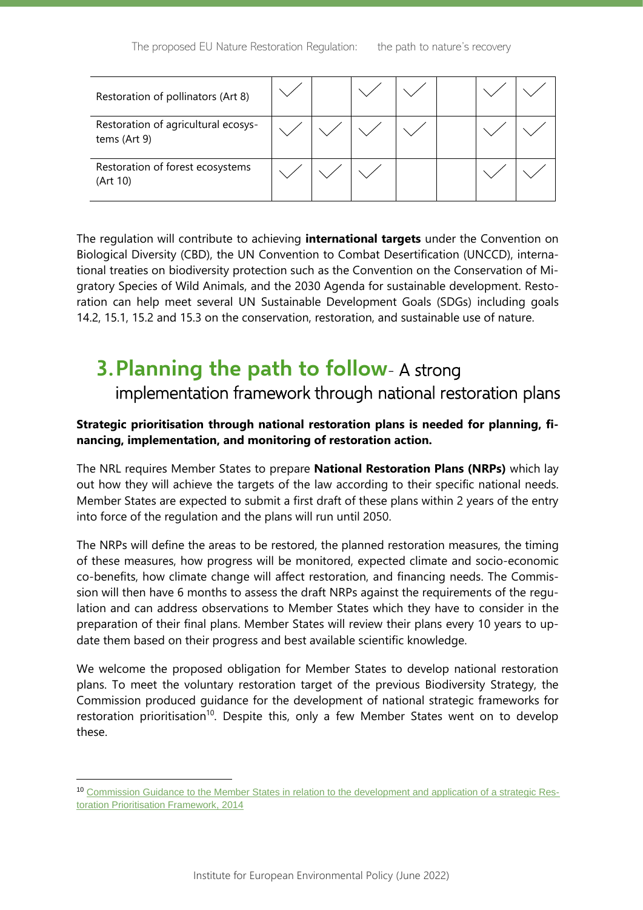| Restoration of pollinators (Art 8)                  |  |  |  |  |
|-----------------------------------------------------|--|--|--|--|
| Restoration of agricultural ecosys-<br>tems (Art 9) |  |  |  |  |
| Restoration of forest ecosystems<br>(Art 10)        |  |  |  |  |

The regulation will contribute to achieving **international targets** under the Convention on Biological Diversity (CBD), the UN Convention to Combat Desertification (UNCCD), international treaties on biodiversity protection such as the Convention on the Conservation of Migratory Species of Wild Animals, and the 2030 Agenda for sustainable development. Restoration can help meet several UN Sustainable Development Goals (SDGs) including goals 14.2, 15.1, 15.2 and 15.3 on the conservation, restoration, and sustainable use of nature.

## **3.Planning the path to follow**- A strong

implementation framework through national restoration plans

#### **Strategic prioritisation through national restoration plans is needed for planning, financing, implementation, and monitoring of restoration action.**

The NRL requires Member States to prepare **National Restoration Plans (NRPs)** which lay out how they will achieve the targets of the law according to their specific national needs. Member States are expected to submit a first draft of these plans within 2 years of the entry into force of the regulation and the plans will run until 2050.

The NRPs will define the areas to be restored, the planned restoration measures, the timing of these measures, how progress will be monitored, expected climate and socio-economic co-benefits, how climate change will affect restoration, and financing needs. The Commission will then have 6 months to assess the draft NRPs against the requirements of the regulation and can address observations to Member States which they have to consider in the preparation of their final plans. Member States will review their plans every 10 years to update them based on their progress and best available scientific knowledge.

We welcome the proposed obligation for Member States to develop national restoration plans. To meet the voluntary restoration target of the previous Biodiversity Strategy, the Commission produced guidance for the development of national strategic frameworks for restoration prioritisation<sup>10</sup>. Despite this, only a few Member States went on to develop these.

<sup>10</sup> [Commission Guidance to the Member States in relation to the development and application of a strategic Res](https://ec.europa.eu/environment/nature/biodiversity/strategy/pdf/RPF%20letter%20to%20MS%20from%20PB%20April%202014%20Annexe.pdf)[toration Prioritisation Framework, 2014](https://ec.europa.eu/environment/nature/biodiversity/strategy/pdf/RPF%20letter%20to%20MS%20from%20PB%20April%202014%20Annexe.pdf)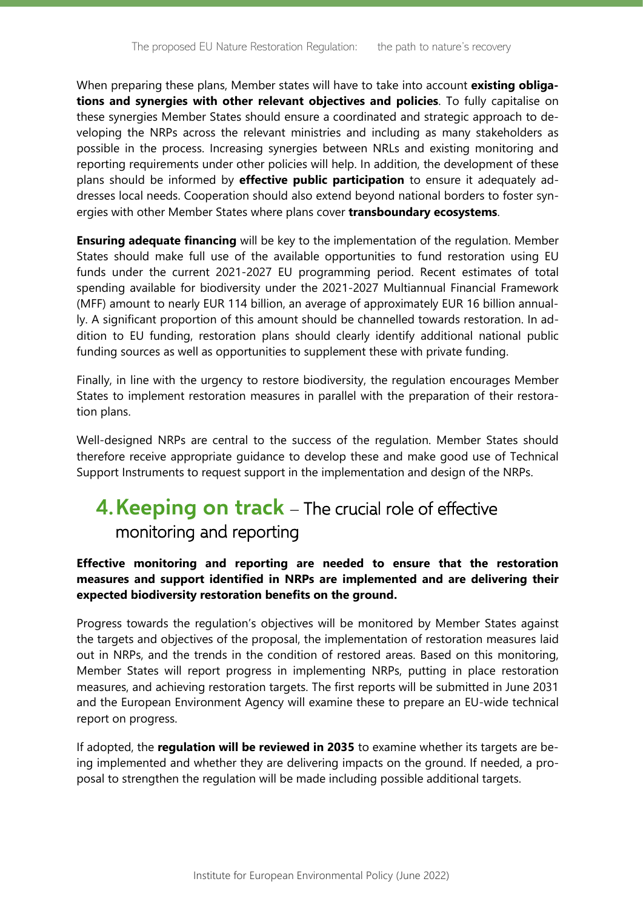When preparing these plans, Member states will have to take into account **existing obligations and synergies with other relevant objectives and policies**. To fully capitalise on these synergies Member States should ensure a coordinated and strategic approach to developing the NRPs across the relevant ministries and including as many stakeholders as possible in the process. Increasing synergies between NRLs and existing monitoring and reporting requirements under other policies will help. In addition, the development of these plans should be informed by **effective public participation** to ensure it adequately addresses local needs. Cooperation should also extend beyond national borders to foster synergies with other Member States where plans cover **transboundary ecosystems**.

**Ensuring adequate financing** will be key to the implementation of the regulation. Member States should make full use of the available opportunities to fund restoration using EU funds under the current 2021-2027 EU programming period. Recent estimates of total spending available for biodiversity under the 2021-2027 Multiannual Financial Framework (MFF) amount to nearly EUR 114 billion, an average of approximately EUR 16 billion annually. A significant proportion of this amount should be channelled towards restoration. In addition to EU funding, restoration plans should clearly identify additional national public funding sources as well as opportunities to supplement these with private funding.

Finally, in line with the urgency to restore biodiversity, the regulation encourages Member States to implement restoration measures in parallel with the preparation of their restoration plans.

Well-designed NRPs are central to the success of the regulation. Member States should therefore receive appropriate guidance to develop these and make good use of Technical Support Instruments to request support in the implementation and design of the NRPs.

## **4.Keeping on track** – The crucial role of effective monitoring and reporting

#### **Effective monitoring and reporting are needed to ensure that the restoration measures and support identified in NRPs are implemented and are delivering their expected biodiversity restoration benefits on the ground.**

Progress towards the regulation's objectives will be monitored by Member States against the targets and objectives of the proposal, the implementation of restoration measures laid out in NRPs, and the trends in the condition of restored areas. Based on this monitoring, Member States will report progress in implementing NRPs, putting in place restoration measures, and achieving restoration targets. The first reports will be submitted in June 2031 and the European Environment Agency will examine these to prepare an EU-wide technical report on progress.

If adopted, the **regulation will be reviewed in 2035** to examine whether its targets are being implemented and whether they are delivering impacts on the ground. If needed, a proposal to strengthen the regulation will be made including possible additional targets.